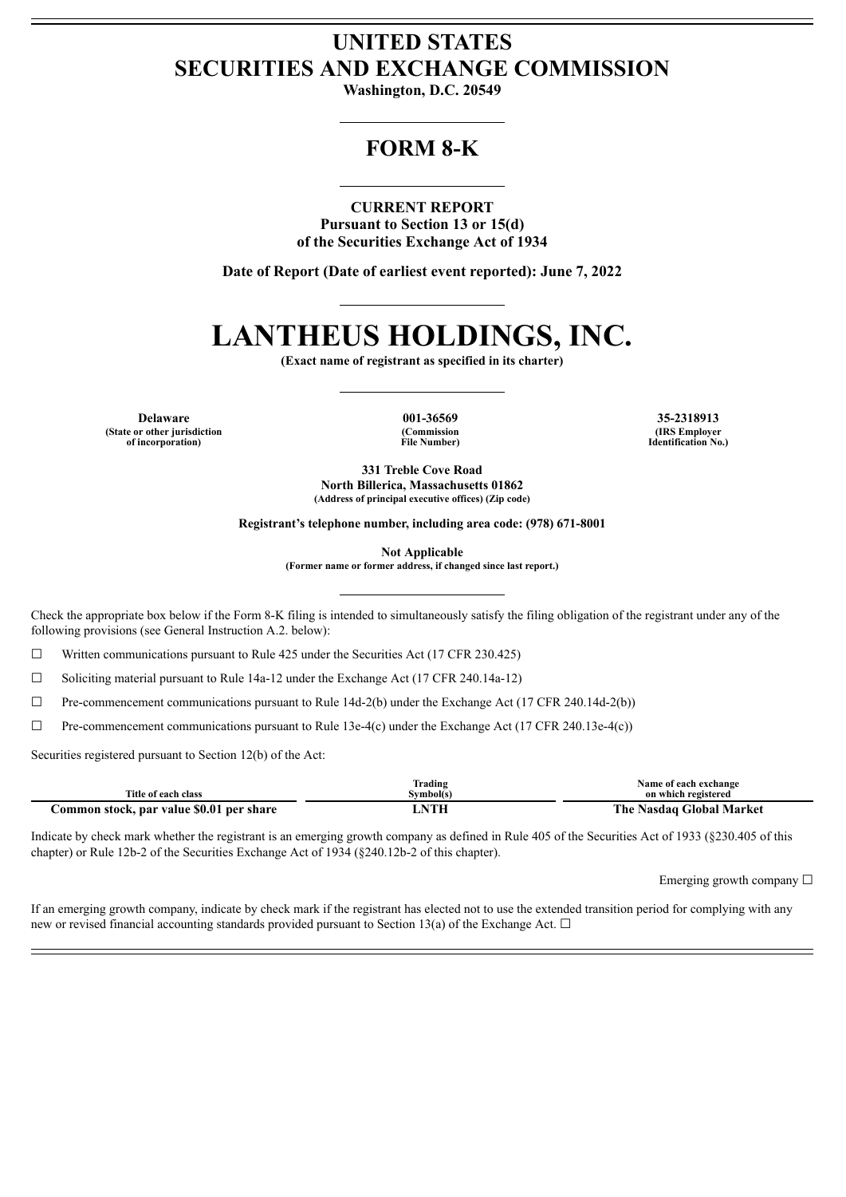# **UNITED STATES SECURITIES AND EXCHANGE COMMISSION**

**Washington, D.C. 20549**

# **FORM 8-K**

## **CURRENT REPORT**

**Pursuant to Section 13 or 15(d) of the Securities Exchange Act of 1934**

**Date of Report (Date of earliest event reported): June 7, 2022**

# **LANTHEUS HOLDINGS, INC.**

**(Exact name of registrant as specified in its charter)**

**Delaware 001-36569 35-2318913 (State or other jurisdiction of incorporation)**

**(Commission File Number)**

**(IRS Employer Identification No.)**

**331 Treble Cove Road North Billerica, Massachusetts 01862 (Address of principal executive offices) (Zip code)**

**Registrant's telephone number, including area code: (978) 671-8001**

**Not Applicable**

**(Former name or former address, if changed since last report.)**

Check the appropriate box below if the Form 8-K filing is intended to simultaneously satisfy the filing obligation of the registrant under any of the following provisions (see General Instruction A.2. below):

 $\Box$  Written communications pursuant to Rule 425 under the Securities Act (17 CFR 230.425)

 $\Box$  Soliciting material pursuant to Rule 14a-12 under the Exchange Act (17 CFR 240.14a-12)

 $\Box$  Pre-commencement communications pursuant to Rule 14d-2(b) under the Exchange Act (17 CFR 240.14d-2(b))

 $\Box$  Pre-commencement communications pursuant to Rule 13e-4(c) under the Exchange Act (17 CFR 240.13e-4(c))

Securities registered pursuant to Section 12(b) of the Act:

|                                          | Frading   | <b>Name of each exchange</b>   |
|------------------------------------------|-----------|--------------------------------|
| Title of each class                      | Svmbol(s) | on which registered            |
| Common stock, par value \$0.01 per share | NTF       | The .<br>`Nasdaq Global Market |

Indicate by check mark whether the registrant is an emerging growth company as defined in Rule 405 of the Securities Act of 1933 (§230.405 of this chapter) or Rule 12b-2 of the Securities Exchange Act of 1934 (§240.12b-2 of this chapter).

Emerging growth company  $\Box$ 

If an emerging growth company, indicate by check mark if the registrant has elected not to use the extended transition period for complying with any new or revised financial accounting standards provided pursuant to Section 13(a) of the Exchange Act.  $\Box$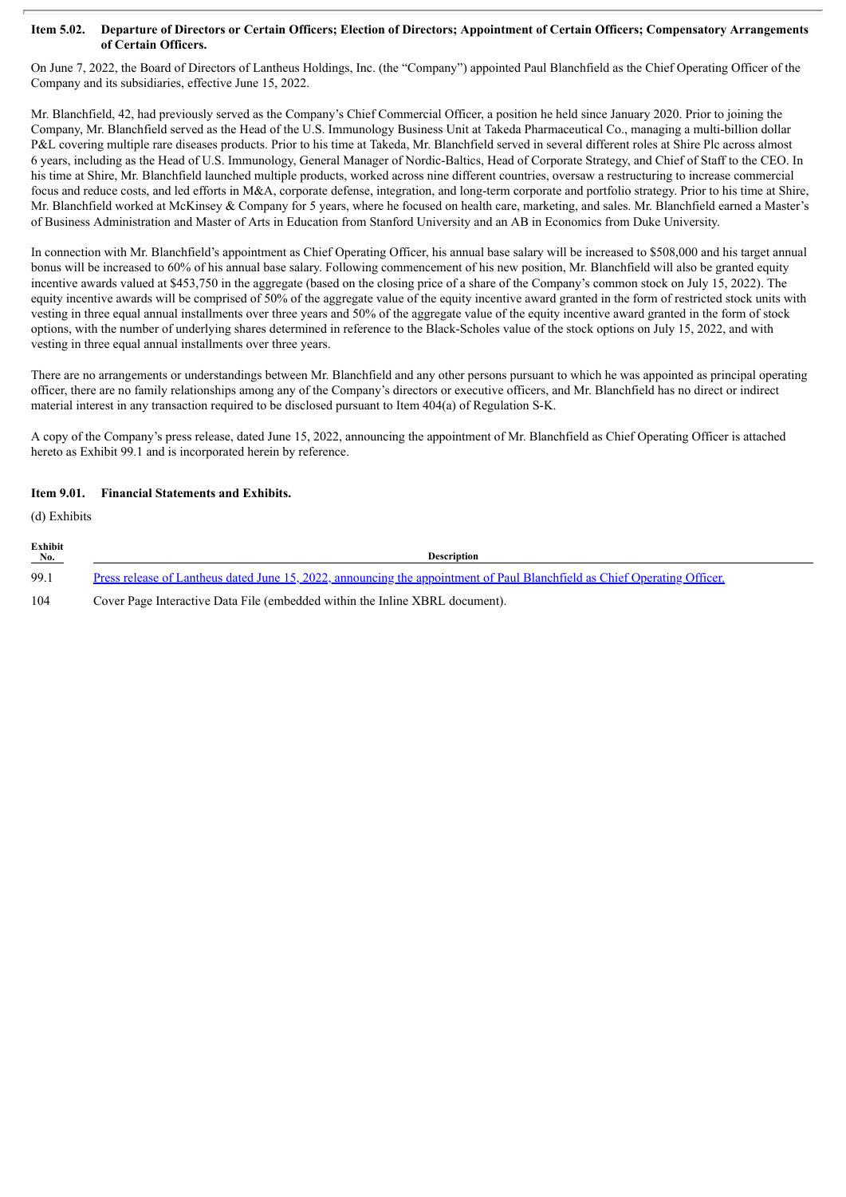#### Item 5.02. Departure of Directors or Certain Officers; Election of Directors; Appointment of Certain Officers; Compensatory Arrangements **of Certain Officers.**

On June 7, 2022, the Board of Directors of Lantheus Holdings, Inc. (the "Company") appointed Paul Blanchfield as the Chief Operating Officer of the Company and its subsidiaries, effective June 15, 2022.

Mr. Blanchfield, 42, had previously served as the Company's Chief Commercial Officer, a position he held since January 2020. Prior to joining the Company, Mr. Blanchfield served as the Head of the U.S. Immunology Business Unit at Takeda Pharmaceutical Co., managing a multi-billion dollar P&L covering multiple rare diseases products. Prior to his time at Takeda, Mr. Blanchfield served in several different roles at Shire Plc across almost 6 years, including as the Head of U.S. Immunology, General Manager of Nordic-Baltics, Head of Corporate Strategy, and Chief of Staff to the CEO. In his time at Shire, Mr. Blanchfield launched multiple products, worked across nine different countries, oversaw a restructuring to increase commercial focus and reduce costs, and led efforts in M&A, corporate defense, integration, and long-term corporate and portfolio strategy. Prior to his time at Shire, Mr. Blanchfield worked at McKinsey & Company for 5 years, where he focused on health care, marketing, and sales. Mr. Blanchfield earned a Master's of Business Administration and Master of Arts in Education from Stanford University and an AB in Economics from Duke University.

In connection with Mr. Blanchfield's appointment as Chief Operating Officer, his annual base salary will be increased to \$508,000 and his target annual bonus will be increased to 60% of his annual base salary. Following commencement of his new position, Mr. Blanchfield will also be granted equity incentive awards valued at \$453,750 in the aggregate (based on the closing price of a share of the Company's common stock on July 15, 2022). The equity incentive awards will be comprised of 50% of the aggregate value of the equity incentive award granted in the form of restricted stock units with vesting in three equal annual installments over three years and 50% of the aggregate value of the equity incentive award granted in the form of stock options, with the number of underlying shares determined in reference to the Black-Scholes value of the stock options on July 15, 2022, and with vesting in three equal annual installments over three years.

There are no arrangements or understandings between Mr. Blanchfield and any other persons pursuant to which he was appointed as principal operating officer, there are no family relationships among any of the Company's directors or executive officers, and Mr. Blanchfield has no direct or indirect material interest in any transaction required to be disclosed pursuant to Item 404(a) of Regulation S-K.

A copy of the Company's press release, dated June 15, 2022, announcing the appointment of Mr. Blanchfield as Chief Operating Officer is attached hereto as Exhibit 99.1 and is incorporated herein by reference.

## **Item 9.01. Financial Statements and Exhibits.**

(d) Exhibits

| Exhibit<br>No. | <b>Description</b>                                                                                                               |  |
|----------------|----------------------------------------------------------------------------------------------------------------------------------|--|
| 99.1           | <u>Press release of Lantheus dated June 15, 2022, announcing the appointment of Paul Blanchfield as Chief Operating Officer.</u> |  |
| 104            | Cover Page Interactive Data File (embedded within the Inline XBRL document).                                                     |  |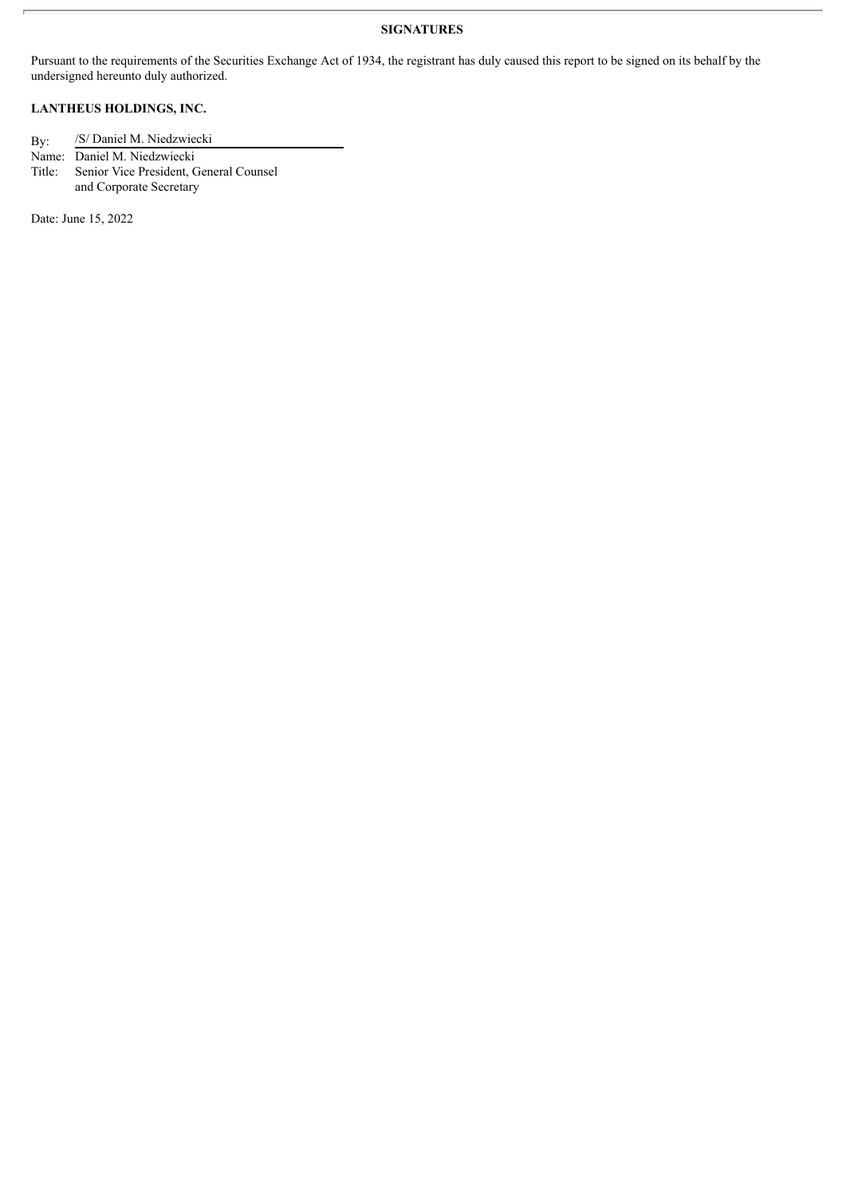# **SIGNATURES**

Pursuant to the requirements of the Securities Exchange Act of 1934, the registrant has duly caused this report to be signed on its behalf by the undersigned hereunto duly authorized.

# **LANTHEUS HOLDINGS, INC.**

By: /S/ Daniel M. Niedzwiecki

- Name: Daniel M. Niedzwiecki
- Title: Senior Vice President, General Counsel and Corporate Secretary

Date: June 15, 2022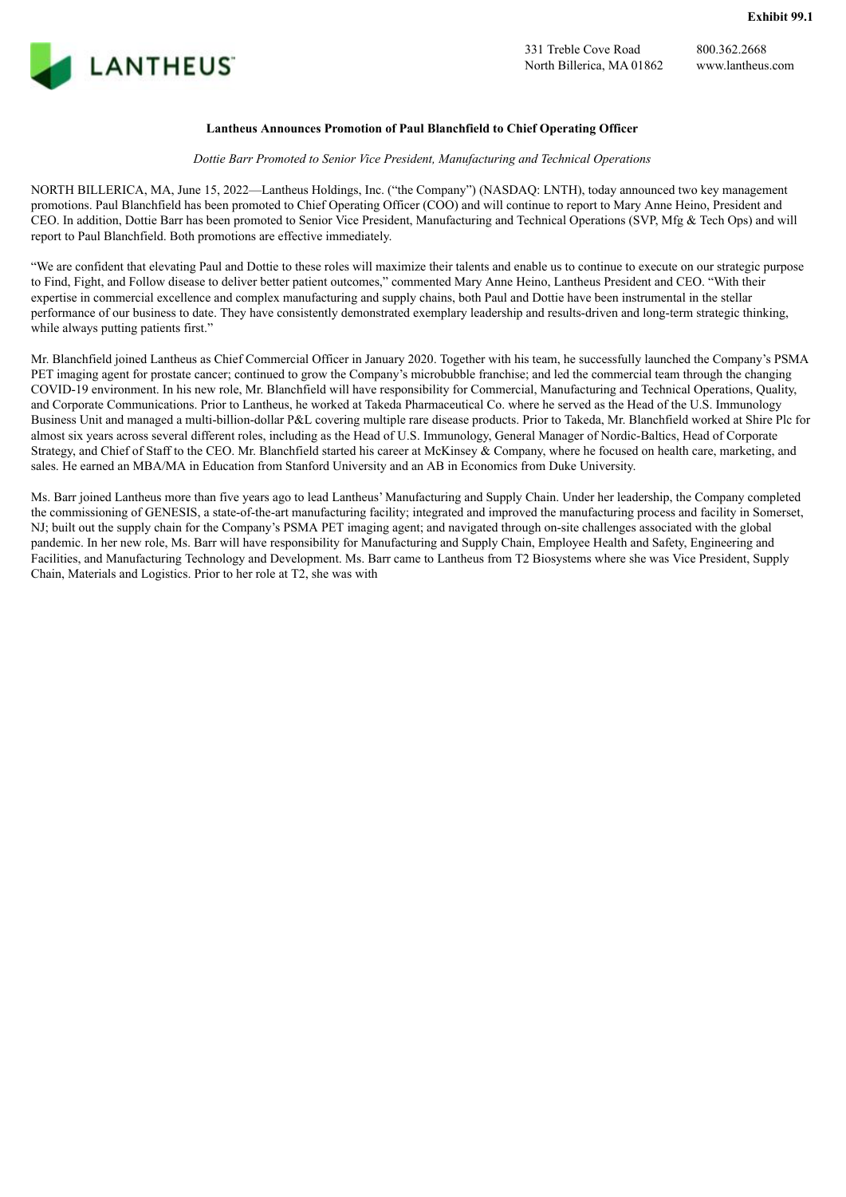<span id="page-3-0"></span>

331 Treble Cove Road North Billerica, MA 01862 800.362.2668 www.lantheus.com

#### **Lantheus Announces Promotion of Paul Blanchfield to Chief Operating Officer**

*Dottie Barr Promoted to Senior Vice President, Manufacturing and Technical Operations*

NORTH BILLERICA, MA, June 15, 2022—Lantheus Holdings, Inc. ("the Company") (NASDAQ: LNTH), today announced two key management promotions. Paul Blanchfield has been promoted to Chief Operating Officer (COO) and will continue to report to Mary Anne Heino, President and CEO. In addition, Dottie Barr has been promoted to Senior Vice President, Manufacturing and Technical Operations (SVP, Mfg & Tech Ops) and will report to Paul Blanchfield. Both promotions are effective immediately.

"We are confident that elevating Paul and Dottie to these roles will maximize their talents and enable us to continue to execute on our strategic purpose to Find, Fight, and Follow disease to deliver better patient outcomes," commented Mary Anne Heino, Lantheus President and CEO. "With their expertise in commercial excellence and complex manufacturing and supply chains, both Paul and Dottie have been instrumental in the stellar performance of our business to date. They have consistently demonstrated exemplary leadership and results-driven and long-term strategic thinking, while always putting patients first."

Mr. Blanchfield joined Lantheus as Chief Commercial Officer in January 2020. Together with his team, he successfully launched the Company's PSMA PET imaging agent for prostate cancer; continued to grow the Company's microbubble franchise; and led the commercial team through the changing COVID-19 environment. In his new role, Mr. Blanchfield will have responsibility for Commercial, Manufacturing and Technical Operations, Quality, and Corporate Communications. Prior to Lantheus, he worked at Takeda Pharmaceutical Co. where he served as the Head of the U.S. Immunology Business Unit and managed a multi-billion-dollar P&L covering multiple rare disease products. Prior to Takeda, Mr. Blanchfield worked at Shire Plc for almost six years across several different roles, including as the Head of U.S. Immunology, General Manager of Nordic-Baltics, Head of Corporate Strategy, and Chief of Staff to the CEO. Mr. Blanchfield started his career at McKinsey & Company, where he focused on health care, marketing, and sales. He earned an MBA/MA in Education from Stanford University and an AB in Economics from Duke University.

Ms. Barr joined Lantheus more than five years ago to lead Lantheus' Manufacturing and Supply Chain. Under her leadership, the Company completed the commissioning of GENESIS, a state-of-the-art manufacturing facility; integrated and improved the manufacturing process and facility in Somerset, NJ; built out the supply chain for the Company's PSMA PET imaging agent; and navigated through on-site challenges associated with the global pandemic. In her new role, Ms. Barr will have responsibility for Manufacturing and Supply Chain, Employee Health and Safety, Engineering and Facilities, and Manufacturing Technology and Development. Ms. Barr came to Lantheus from T2 Biosystems where she was Vice President, Supply Chain, Materials and Logistics. Prior to her role at T2, she was with